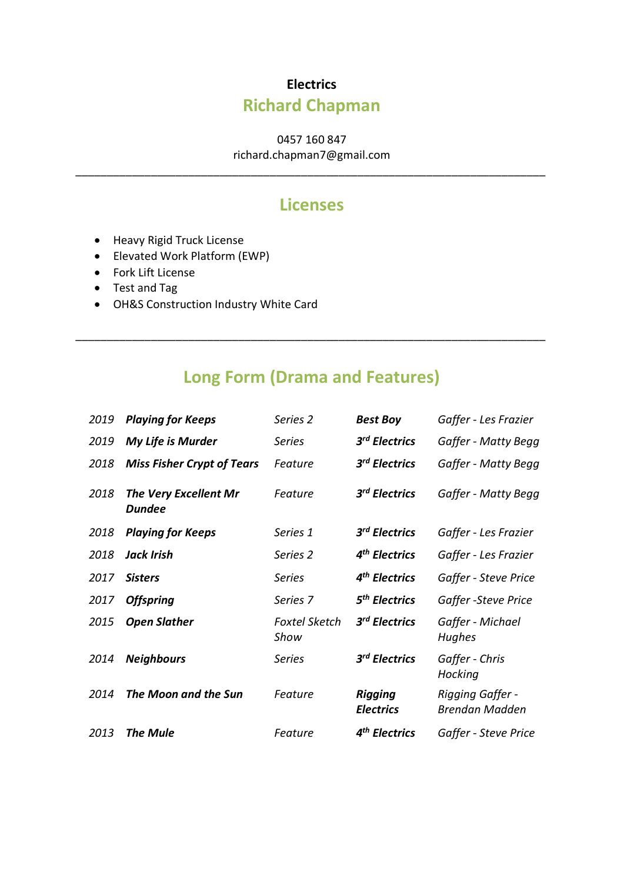## **Electrics Richard Chapman**

0457 160 847

richard.chapman7@gmail.com \_\_\_\_\_\_\_\_\_\_\_\_\_\_\_\_\_\_\_\_\_\_\_\_\_\_\_\_\_\_\_\_\_\_\_\_\_\_\_\_\_\_\_\_\_\_\_\_\_\_\_\_\_\_\_\_\_\_\_\_\_\_\_\_\_\_\_\_\_\_\_\_\_\_\_

## **Licenses**

- Heavy Rigid Truck License
- Elevated Work Platform (EWP)
- Fork Lift License
- Test and Tag
- OH&S Construction Industry White Card

## **Long Form (Drama and Features)**

\_\_\_\_\_\_\_\_\_\_\_\_\_\_\_\_\_\_\_\_\_\_\_\_\_\_\_\_\_\_\_\_\_\_\_\_\_\_\_\_\_\_\_\_\_\_\_\_\_\_\_\_\_\_\_\_\_\_\_\_\_\_\_\_\_\_\_\_\_\_\_\_\_\_\_

| 2019 | <b>Playing for Keeps</b>                      | Series <sub>2</sub>          | <b>Best Boy</b>                    | Gaffer - Les Frazier                      |
|------|-----------------------------------------------|------------------------------|------------------------------------|-------------------------------------------|
| 2019 | My Life is Murder                             | Series                       | 3 <sup>rd</sup> Electrics          | Gaffer - Matty Begg                       |
| 2018 | <b>Miss Fisher Crypt of Tears</b>             | Feature                      | 3 <sup>rd</sup> Electrics          | Gaffer - Matty Begg                       |
| 2018 | <b>The Very Excellent Mr</b><br><b>Dundee</b> | Feature                      | 3 <sup>rd</sup> Electrics          | Gaffer - Matty Begg                       |
| 2018 | <b>Playing for Keeps</b>                      | Series 1                     | 3 <sup>rd</sup> Electrics          | Gaffer - Les Frazier                      |
| 2018 | Jack Irish                                    | Series 2                     | 4 <sup>th</sup> Electrics          | Gaffer - Les Frazier                      |
| 2017 | <b>Sisters</b>                                | <b>Series</b>                | 4 <sup>th</sup> Electrics          | Gaffer - Steve Price                      |
| 2017 | <b>Offspring</b>                              | Series 7                     | 5 <sup>th</sup> Electrics          | Gaffer - Steve Price                      |
| 2015 | <b>Open Slather</b>                           | <b>Foxtel Sketch</b><br>Show | 3 <sup>rd</sup> Electrics          | Gaffer - Michael<br><b>Hughes</b>         |
| 2014 | <b>Neighbours</b>                             | <b>Series</b>                | 3 <sup>rd</sup> Electrics          | Gaffer - Chris<br>Hocking                 |
| 2014 | The Moon and the Sun                          | Feature                      | <b>Rigging</b><br><b>Electrics</b> | Rigging Gaffer -<br><b>Brendan Madden</b> |
| 2013 | <b>The Mule</b>                               | Feature                      | 4 <sup>th</sup> Electrics          | Gaffer - Steve Price                      |